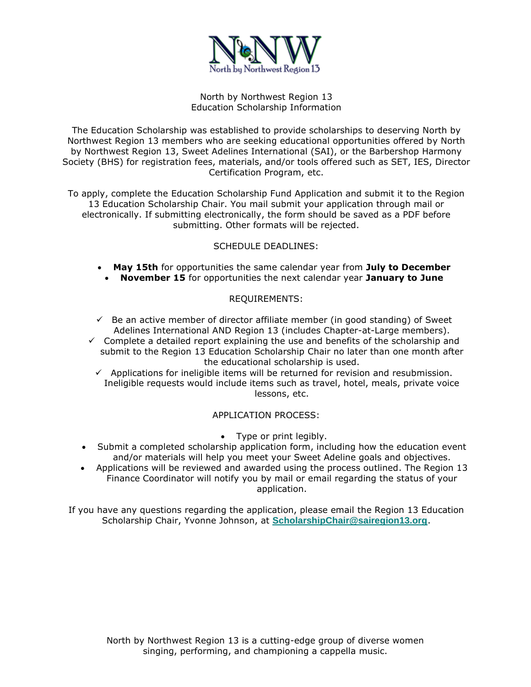

#### North by Northwest Region 13 Education Scholarship Information

The Education Scholarship was established to provide scholarships to deserving North by Northwest Region 13 members who are seeking educational opportunities offered by North by Northwest Region 13, Sweet Adelines International (SAI), or the Barbershop Harmony Society (BHS) for registration fees, materials, and/or tools offered such as SET, IES, Director Certification Program, etc.

To apply, complete the Education Scholarship Fund Application and submit it to the Region 13 Education Scholarship Chair. You mail submit your application through mail or electronically. If submitting electronically, the form should be saved as a PDF before submitting. Other formats will be rejected.

# SCHEDULE DEADLINES:

- **May 15th** for opportunities the same calendar year from **July to December**
	- **November 15** for opportunities the next calendar year **January to June**

#### REQUIREMENTS:

- $\checkmark$  Be an active member of director affiliate member (in good standing) of Sweet Adelines International AND Region 13 (includes Chapter-at-Large members).
- $\checkmark$  Complete a detailed report explaining the use and benefits of the scholarship and submit to the Region 13 Education Scholarship Chair no later than one month after the educational scholarship is used.
	- $\checkmark$  Applications for ineligible items will be returned for revision and resubmission. Ineligible requests would include items such as travel, hotel, meals, private voice lessons, etc.

#### APPLICATION PROCESS:

- Type or print legibly.
- Submit a completed scholarship application form, including how the education event and/or materials will help you meet your Sweet Adeline goals and objectives.
- Applications will be reviewed and awarded using the process outlined. The Region 13 Finance Coordinator will notify you by mail or email regarding the status of your application.

If you have any questions regarding the application, please email the Region 13 Education Scholarship Chair, Yvonne Johnson, at **[ScholarshipChair@sairegion13.org](mailto:ScholarshipChair@sairegion13.org?subject=Education%20Scholarship)**.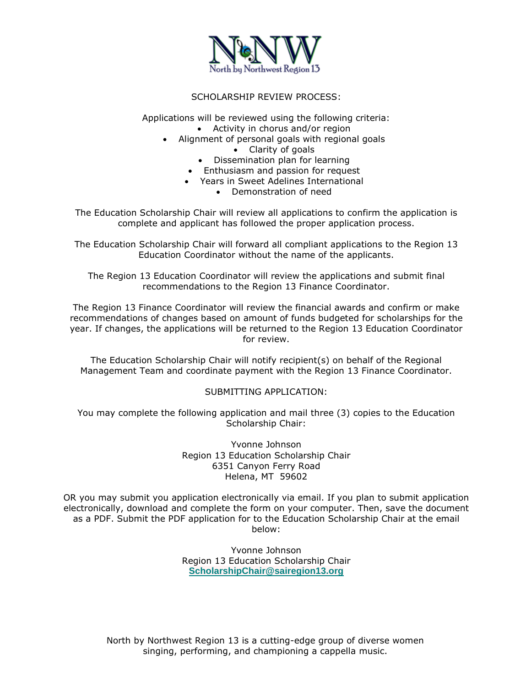

## SCHOLARSHIP REVIEW PROCESS:

Applications will be reviewed using the following criteria: • Activity in chorus and/or region

- Alignment of personal goals with regional goals
	- Clarity of goals
	- Dissemination plan for learning
	- Enthusiasm and passion for request
	- Years in Sweet Adelines International
		- Demonstration of need

The Education Scholarship Chair will review all applications to confirm the application is complete and applicant has followed the proper application process.

The Education Scholarship Chair will forward all compliant applications to the Region 13 Education Coordinator without the name of the applicants.

The Region 13 Education Coordinator will review the applications and submit final recommendations to the Region 13 Finance Coordinator.

The Region 13 Finance Coordinator will review the financial awards and confirm or make recommendations of changes based on amount of funds budgeted for scholarships for the year. If changes, the applications will be returned to the Region 13 Education Coordinator for review.

The Education Scholarship Chair will notify recipient(s) on behalf of the Regional Management Team and coordinate payment with the Region 13 Finance Coordinator.

#### SUBMITTING APPLICATION:

You may complete the following application and mail three (3) copies to the Education Scholarship Chair:

> Yvonne Johnson Region 13 Education Scholarship Chair 6351 Canyon Ferry Road Helena, MT 59602

OR you may submit you application electronically via email. If you plan to submit application electronically, download and complete the form on your computer. Then, save the document as a PDF. Submit the PDF application for to the Education Scholarship Chair at the email below:

> Yvonne Johnson Region 13 Education Scholarship Chair **[ScholarshipChair@sairegion13.org](mailto:ScholarshipChair@sairegion13.org?subject=Education%20Scholarship)**

North by Northwest Region 13 is a cutting-edge group of diverse women singing, performing, and championing a cappella music.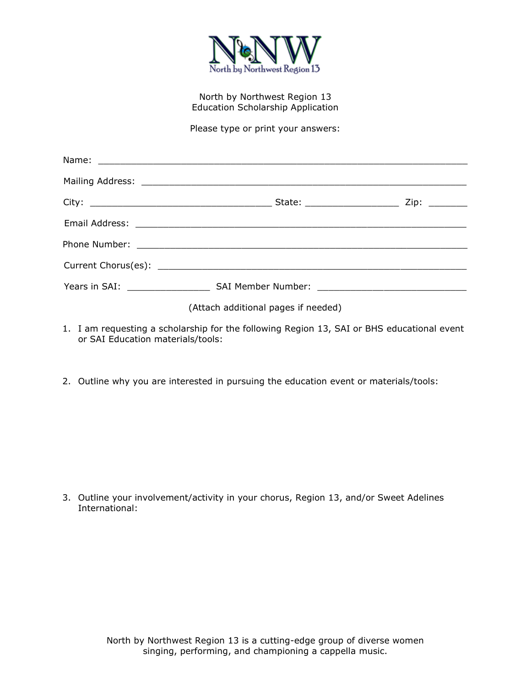

## North by Northwest Region 13 Education Scholarship Application

Please type or print your answers:

| (Attach additional pages if needed) |  |
|-------------------------------------|--|

- 1. I am requesting a scholarship for the following Region 13, SAI or BHS educational event or SAI Education materials/tools:
- 2. Outline why you are interested in pursuing the education event or materials/tools:

3. Outline your involvement/activity in your chorus, Region 13, and/or Sweet Adelines International: